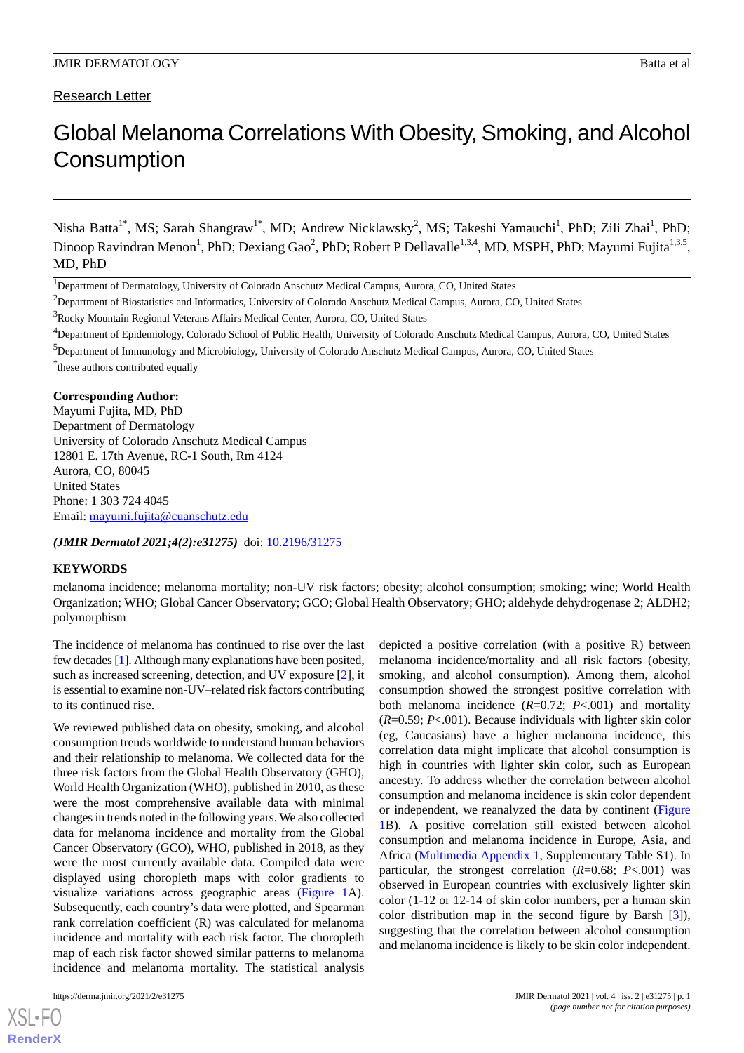Research Letter

# Global Melanoma Correlations With Obesity, Smoking, and Alcohol **Consumption**

Nisha Batta<sup>1\*</sup>, MS; Sarah Shangraw<sup>1\*</sup>, MD; Andrew Nicklawsky<sup>2</sup>, MS; Takeshi Yamauchi<sup>1</sup>, PhD; Zili Zhai<sup>1</sup>, PhD; Dinoop Ravindran Menon<sup>1</sup>, PhD; Dexiang Gao<sup>2</sup>, PhD; Robert P Dellavalle<sup>1,3,4</sup>, MD, MSPH, PhD; Mayumi Fujita<sup>1,3,5</sup>, MD, PhD

<sup>1</sup>Department of Dermatology, University of Colorado Anschutz Medical Campus, Aurora, CO, United States

<sup>2</sup>Department of Biostatistics and Informatics, University of Colorado Anschutz Medical Campus, Aurora, CO, United States

<sup>3</sup>Rocky Mountain Regional Veterans Affairs Medical Center, Aurora, CO, United States

<sup>4</sup>Department of Epidemiology, Colorado School of Public Health, University of Colorado Anschutz Medical Campus, Aurora, CO, United States

\* these authors contributed equally

# **Corresponding Author:**

Mayumi Fujita, MD, PhD Department of Dermatology University of Colorado Anschutz Medical Campus 12801 E. 17th Avenue, RC-1 South, Rm 4124 Aurora, CO, 80045 United States Phone: 1 303 724 4045 Email: [mayumi.fujita@cuanschutz.edu](mailto:mayumi.fujita@cuanschutz.edu)

*(JMIR Dermatol 2021;4(2):e31275)* doi: [10.2196/31275](http://dx.doi.org/10.2196/31275)

### **KEYWORDS**

melanoma incidence; melanoma mortality; non-UV risk factors; obesity; alcohol consumption; smoking; wine; World Health Organization; WHO; Global Cancer Observatory; GCO; Global Health Observatory; GHO; aldehyde dehydrogenase 2; ALDH2; polymorphism

The incidence of melanoma has continued to rise over the last few decades [[1\]](#page-3-0). Although many explanations have been posited, such as increased screening, detection, and UV exposure [\[2](#page-3-1)], it is essential to examine non-UV–related risk factors contributing to its continued rise.

We reviewed published data on obesity, smoking, and alcohol consumption trends worldwide to understand human behaviors and their relationship to melanoma. We collected data for the three risk factors from the Global Health Observatory (GHO), World Health Organization (WHO), published in 2010, as these were the most comprehensive available data with minimal changes in trends noted in the following years. We also collected data for melanoma incidence and mortality from the Global Cancer Observatory (GCO), WHO, published in 2018, as they were the most currently available data. Compiled data were displayed using choropleth maps with color gradients to visualize variations across geographic areas [\(Figure 1A](#page-2-0)). Subsequently, each country's data were plotted, and Spearman rank correlation coefficient (R) was calculated for melanoma incidence and mortality with each risk factor. The choropleth map of each risk factor showed similar patterns to melanoma incidence and melanoma mortality. The statistical analysis

[XSL](http://www.w3.org/Style/XSL)•FO **[RenderX](http://www.renderx.com/)**

depicted a positive correlation (with a positive R) between melanoma incidence/mortality and all risk factors (obesity, smoking, and alcohol consumption). Among them, alcohol consumption showed the strongest positive correlation with both melanoma incidence (*R*=0.72; *P*<.001) and mortality (*R*=0.59; *P*<.001). Because individuals with lighter skin color (eg, Caucasians) have a higher melanoma incidence, this correlation data might implicate that alcohol consumption is high in countries with lighter skin color, such as European ancestry. To address whether the correlation between alcohol consumption and melanoma incidence is skin color dependent or independent, we reanalyzed the data by continent ([Figure](#page-2-0) [1B](#page-2-0)). A positive correlation still existed between alcohol consumption and melanoma incidence in Europe, Asia, and Africa [\(Multimedia Appendix 1,](#page-3-2) Supplementary Table S1). In particular, the strongest correlation (*R*=0.68; *P*<.001) was observed in European countries with exclusively lighter skin color (1-12 or 12-14 of skin color numbers, per a human skin color distribution map in the second figure by Barsh [[3\]](#page-3-3)), suggesting that the correlation between alcohol consumption and melanoma incidence is likely to be skin color independent.

<sup>5</sup>Department of Immunology and Microbiology, University of Colorado Anschutz Medical Campus, Aurora, CO, United States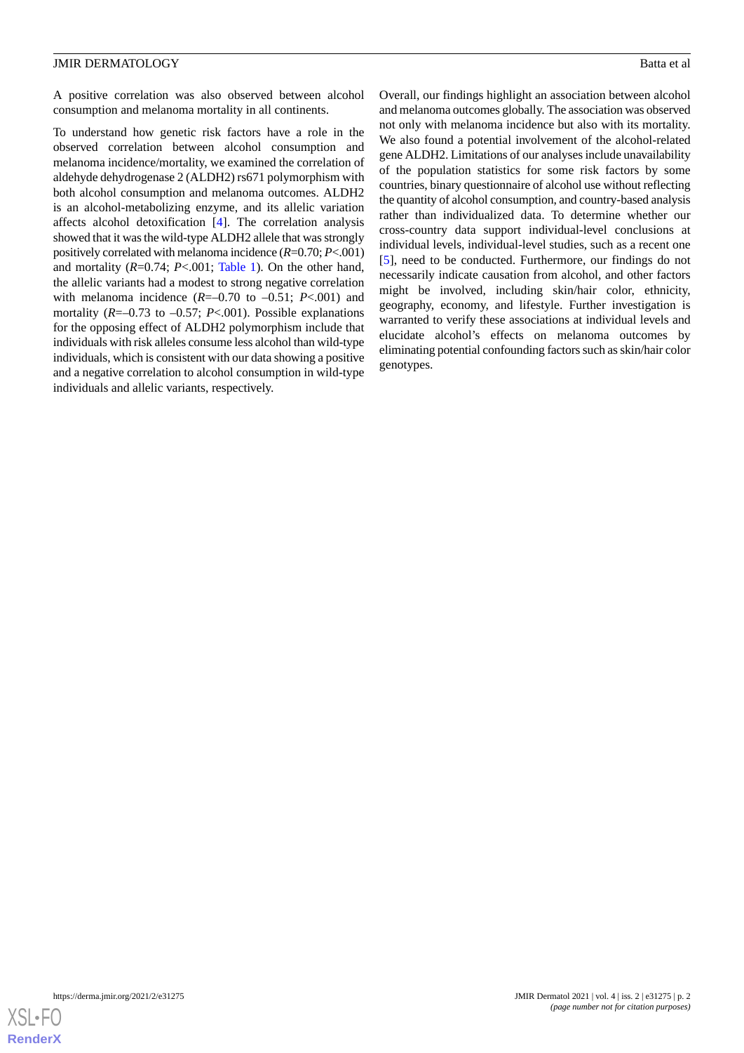#### JMIR DERMATOLOGY Batta et al

A positive correlation was also observed between alcohol consumption and melanoma mortality in all continents.

To understand how genetic risk factors have a role in the observed correlation between alcohol consumption and melanoma incidence/mortality, we examined the correlation of aldehyde dehydrogenase 2 (ALDH2) rs671 polymorphism with both alcohol consumption and melanoma outcomes. ALDH2 is an alcohol-metabolizing enzyme, and its allelic variation affects alcohol detoxification [\[4](#page-3-4)]. The correlation analysis showed that it was the wild-type ALDH2 allele that was strongly positively correlated with melanoma incidence (*R*=0.70; *P*<.001) and mortality (*R*=0.74; *P*<.001; [Table 1](#page-3-5)). On the other hand, the allelic variants had a modest to strong negative correlation with melanoma incidence  $(R=-0.70 \text{ to } -0.51; P<.001)$  and mortality ( $R=-0.73$  to  $-0.57$ ;  $P<.001$ ). Possible explanations for the opposing effect of ALDH2 polymorphism include that individuals with risk alleles consume less alcohol than wild-type individuals, which is consistent with our data showing a positive and a negative correlation to alcohol consumption in wild-type individuals and allelic variants, respectively.

Overall, our findings highlight an association between alcohol and melanoma outcomes globally. The association was observed not only with melanoma incidence but also with its mortality. We also found a potential involvement of the alcohol-related gene ALDH2. Limitations of our analyses include unavailability of the population statistics for some risk factors by some countries, binary questionnaire of alcohol use without reflecting the quantity of alcohol consumption, and country-based analysis rather than individualized data. To determine whether our cross-country data support individual-level conclusions at individual levels, individual-level studies, such as a recent one [[5\]](#page-3-6), need to be conducted. Furthermore, our findings do not necessarily indicate causation from alcohol, and other factors might be involved, including skin/hair color, ethnicity, geography, economy, and lifestyle. Further investigation is warranted to verify these associations at individual levels and elucidate alcohol's effects on melanoma outcomes by eliminating potential confounding factors such as skin/hair color genotypes.

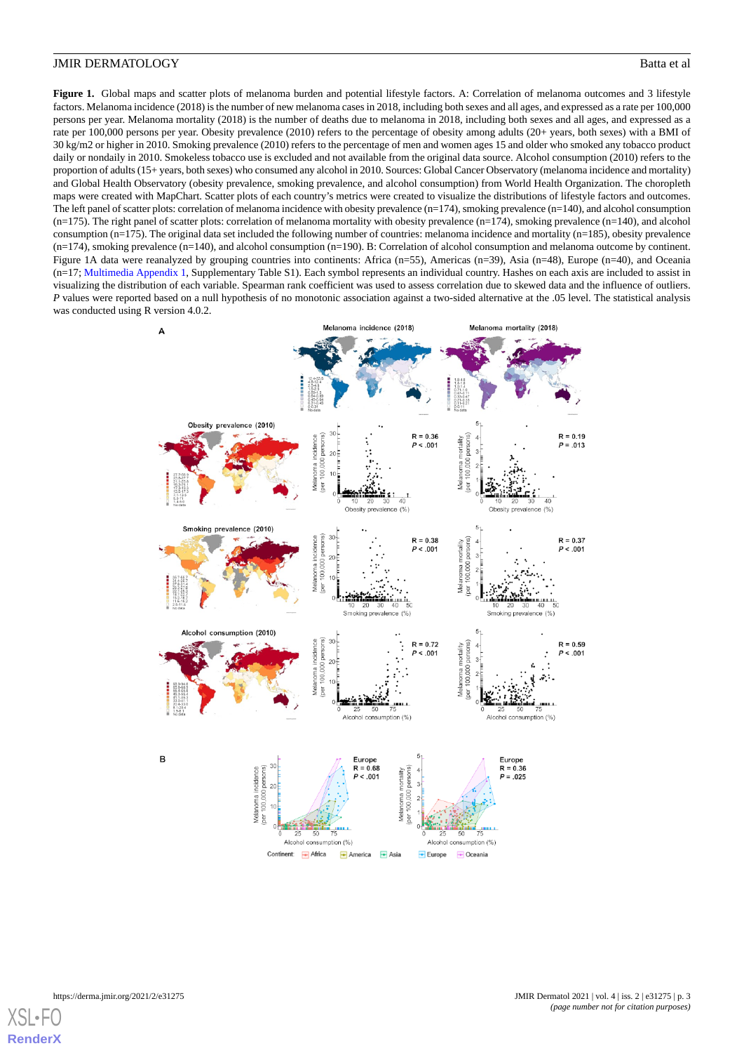#### **JMIR DERMATOLOGY** Batta et al.

<span id="page-2-0"></span>Figure 1. Global maps and scatter plots of melanoma burden and potential lifestyle factors. A: Correlation of melanoma outcomes and 3 lifestyle factors. Melanoma incidence (2018) is the number of new melanoma cases in 2018, including both sexes and all ages, and expressed as a rate per 100,000 persons per year. Melanoma mortality (2018) is the number of deaths due to melanoma in 2018, including both sexes and all ages, and expressed as a rate per 100,000 persons per year. Obesity prevalence (2010) refers to the percentage of obesity among adults (20+ years, both sexes) with a BMI of 30 kg/m2 or higher in 2010. Smoking prevalence (2010) refers to the percentage of men and women ages 15 and older who smoked any tobacco product daily or nondaily in 2010. Smokeless tobacco use is excluded and not available from the original data source. Alcohol consumption (2010) refers to the proportion of adults (15+ years, both sexes) who consumed any alcohol in 2010. Sources: Global Cancer Observatory (melanoma incidence and mortality) and Global Health Observatory (obesity prevalence, smoking prevalence, and alcohol consumption) from World Health Organization. The choropleth maps were created with MapChart. Scatter plots of each country's metrics were created to visualize the distributions of lifestyle factors and outcomes. The left panel of scatter plots: correlation of melanoma incidence with obesity prevalence (n=174), smoking prevalence (n=140), and alcohol consumption  $(n=175)$ . The right panel of scatter plots: correlation of melanoma mortality with obesity prevalence  $(n=174)$ , smoking prevalence  $(n=140)$ , and alcohol consumption (n=175). The original data set included the following number of countries: melanoma incidence and mortality (n=185), obesity prevalence (n=174), smoking prevalence (n=140), and alcohol consumption (n=190). B: Correlation of alcohol consumption and melanoma outcome by continent. Figure 1A data were reanalyzed by grouping countries into continents: Africa (n=55), Americas (n=39), Asia (n=48), Europe (n=40), and Oceania (n=17; [Multimedia Appendix 1,](#page-3-2) Supplementary Table S1). Each symbol represents an individual country. Hashes on each axis are included to assist in visualizing the distribution of each variable. Spearman rank coefficient was used to assess correlation due to skewed data and the influence of outliers. *P* values were reported based on a null hypothesis of no monotonic association against a two-sided alternative at the .05 level. The statistical analysis was conducted using R version 4.0.2.



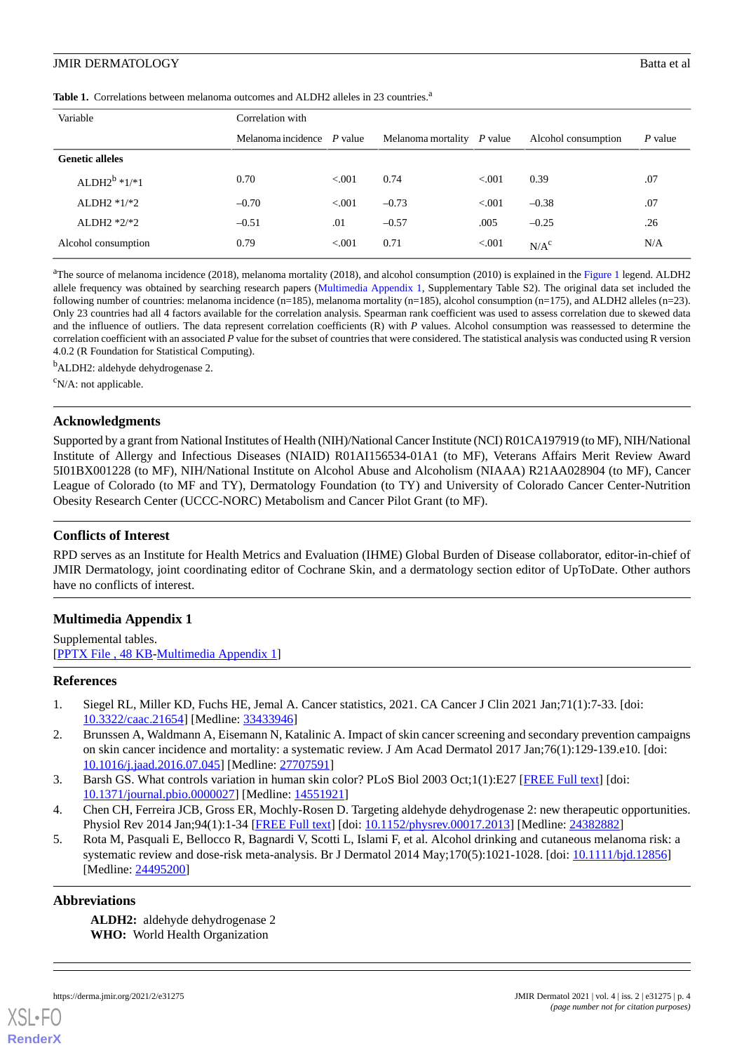# **JMIR DERMATOLOGY** Batta et al.

<span id="page-3-5"></span>Table 1. Correlations between melanoma outcomes and ALDH2 alleles in 23 countries.<sup>a</sup>

| Variable                 | Correlation with             |         |                              |         |                     |         |
|--------------------------|------------------------------|---------|------------------------------|---------|---------------------|---------|
|                          | Melanoma incidence $P$ value |         | Melanoma mortality $P$ value |         | Alcohol consumption | P value |
| <b>Genetic alleles</b>   |                              |         |                              |         |                     |         |
| ALDH2 <sup>b</sup> *1/*1 | 0.70                         | < 0.001 | 0.74                         | < 0.001 | 0.39                | .07     |
| ALDH2 $*1/*2$            | $-0.70$                      | < 0.01  | $-0.73$                      | < 0.001 | $-0.38$             | .07     |
| ALDH2 $*2/*2$            | $-0.51$                      | .01     | $-0.57$                      | .005    | $-0.25$             | .26     |
| Alcohol consumption      | 0.79                         | < 0.001 | 0.71                         | < 0.001 | N/A <sup>c</sup>    | N/A     |

<sup>a</sup>The source of melanoma incidence (2018), melanoma mortality (2018), and alcohol consumption (2010) is explained in the [Figure 1](#page-2-0) legend. ALDH2 allele frequency was obtained by searching research papers ([Multimedia Appendix 1,](#page-3-2) Supplementary Table S2). The original data set included the following number of countries: melanoma incidence  $(n=185)$ , melanoma mortality  $(n=185)$ , alcohol consumption  $(n=175)$ , and ALDH2 alleles  $(n=23)$ . Only 23 countries had all 4 factors available for the correlation analysis. Spearman rank coefficient was used to assess correlation due to skewed data and the influence of outliers. The data represent correlation coefficients (R) with *P* values. Alcohol consumption was reassessed to determine the correlation coefficient with an associated *P* value for the subset of countries that were considered. The statistical analysis was conducted using R version 4.0.2 (R Foundation for Statistical Computing).

<sup>b</sup>ALDH2: aldehyde dehydrogenase 2.

 $\rm^c$ N/A: not applicable.

# **Acknowledgments**

Supported by a grant from National Institutes of Health (NIH)/National Cancer Institute (NCI) R01CA197919 (to MF), NIH/National Institute of Allergy and Infectious Diseases (NIAID) R01AI156534-01A1 (to MF), Veterans Affairs Merit Review Award 5I01BX001228 (to MF), NIH/National Institute on Alcohol Abuse and Alcoholism (NIAAA) R21AA028904 (to MF), Cancer League of Colorado (to MF and TY), Dermatology Foundation (to TY) and University of Colorado Cancer Center-Nutrition Obesity Research Center (UCCC-NORC) Metabolism and Cancer Pilot Grant (to MF).

# **Conflicts of Interest**

<span id="page-3-2"></span>RPD serves as an Institute for Health Metrics and Evaluation (IHME) Global Burden of Disease collaborator, editor-in-chief of JMIR Dermatology, joint coordinating editor of Cochrane Skin, and a dermatology section editor of UpToDate. Other authors have no conflicts of interest.

# **Multimedia Appendix 1**

<span id="page-3-0"></span>Supplemental tables. [[PPTX File , 48 KB](https://jmir.org/api/download?alt_name=derma_v4i2e31275_app1.pptx&filename=8830401a2b245b6b284edfae69b376a9.pptx)-[Multimedia Appendix 1\]](https://jmir.org/api/download?alt_name=derma_v4i2e31275_app1.pptx&filename=8830401a2b245b6b284edfae69b376a9.pptx)

# <span id="page-3-1"></span>**References**

- <span id="page-3-3"></span>1. Siegel RL, Miller KD, Fuchs HE, Jemal A. Cancer statistics, 2021. CA Cancer J Clin 2021 Jan;71(1):7-33. [doi: [10.3322/caac.21654](http://dx.doi.org/10.3322/caac.21654)] [Medline: [33433946\]](http://www.ncbi.nlm.nih.gov/entrez/query.fcgi?cmd=Retrieve&db=PubMed&list_uids=33433946&dopt=Abstract)
- <span id="page-3-6"></span><span id="page-3-4"></span>2. Brunssen A, Waldmann A, Eisemann N, Katalinic A. Impact of skin cancer screening and secondary prevention campaigns on skin cancer incidence and mortality: a systematic review. J Am Acad Dermatol 2017 Jan;76(1):129-139.e10. [doi: [10.1016/j.jaad.2016.07.045](http://dx.doi.org/10.1016/j.jaad.2016.07.045)] [Medline: [27707591](http://www.ncbi.nlm.nih.gov/entrez/query.fcgi?cmd=Retrieve&db=PubMed&list_uids=27707591&dopt=Abstract)]
- 3. Barsh GS. What controls variation in human skin color? PLoS Biol 2003 Oct;1(1):E27 [\[FREE Full text\]](https://dx.plos.org/10.1371/journal.pbio.0000027) [doi: [10.1371/journal.pbio.0000027\]](http://dx.doi.org/10.1371/journal.pbio.0000027) [Medline: [14551921\]](http://www.ncbi.nlm.nih.gov/entrez/query.fcgi?cmd=Retrieve&db=PubMed&list_uids=14551921&dopt=Abstract)
- 4. Chen CH, Ferreira JCB, Gross ER, Mochly-Rosen D. Targeting aldehyde dehydrogenase 2: new therapeutic opportunities. Physiol Rev 2014 Jan; 94(1): 1-34 [[FREE Full text\]](https://journals.physiology.org/doi/10.1152/physrev.00017.2013?url_ver=Z39.88-2003&rfr_id=ori:rid:crossref.org&rfr_dat=cr_pub%3dpubmed) [doi: [10.1152/physrev.00017.2013](http://dx.doi.org/10.1152/physrev.00017.2013)] [Medline: [24382882\]](http://www.ncbi.nlm.nih.gov/entrez/query.fcgi?cmd=Retrieve&db=PubMed&list_uids=24382882&dopt=Abstract)
- 5. Rota M, Pasquali E, Bellocco R, Bagnardi V, Scotti L, Islami F, et al. Alcohol drinking and cutaneous melanoma risk: a systematic review and dose-risk meta-analysis. Br J Dermatol 2014 May;170(5):1021-1028. [doi: [10.1111/bjd.12856](http://dx.doi.org/10.1111/bjd.12856)] [Medline: [24495200](http://www.ncbi.nlm.nih.gov/entrez/query.fcgi?cmd=Retrieve&db=PubMed&list_uids=24495200&dopt=Abstract)]

# **Abbreviations**

**ALDH2:** aldehyde dehydrogenase 2 **WHO:** World Health Organization